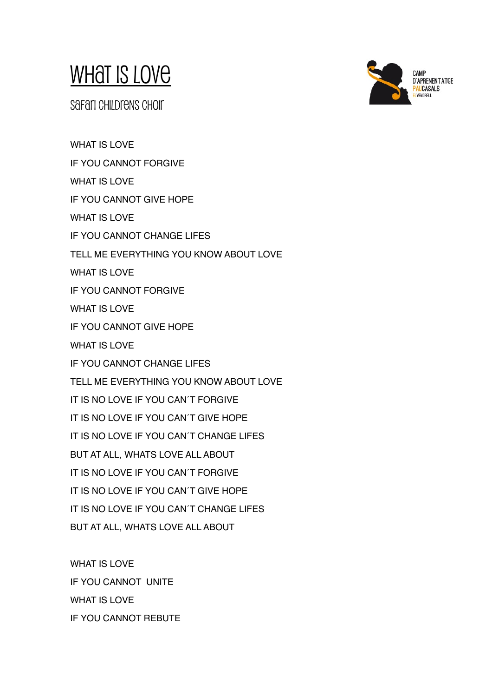## WHAT IS LOVE

safari childrens choir

WHAT IS LOVE IF YOU CANNOT FORGIVE WHAT IS LOVE IF YOU CANNOT GIVE HOPE WHAT IS LOVE IF YOU CANNOT CHANGE LIFES TELL ME EVERYTHING YOU KNOW ABOUT LOVE WHAT IS LOVE IF YOU CANNOT FORGIVE WHAT IS LOVE IF YOU CANNOT GIVE HOPE WHAT IS LOVE IF YOU CANNOT CHANGE LIFES TELL ME EVERYTHING YOU KNOW ABOUT LOVE IT IS NO LOVE IF YOU CAN´T FORGIVE IT IS NO LOVE IF YOU CAN´T GIVE HOPE IT IS NO LOVE IF YOU CAN´T CHANGE LIFES BUT AT ALL, WHATS LOVE ALL ABOUT IT IS NO LOVE IF YOU CAN´T FORGIVE IT IS NO LOVE IF YOU CAN´T GIVE HOPE IT IS NO LOVE IF YOU CAN´T CHANGE LIFES BUT AT ALL, WHATS LOVE ALL ABOUT

WHAT IS LOVE IF YOU CANNOT UNITE WHAT IS LOVE IF YOU CANNOT REBUTE

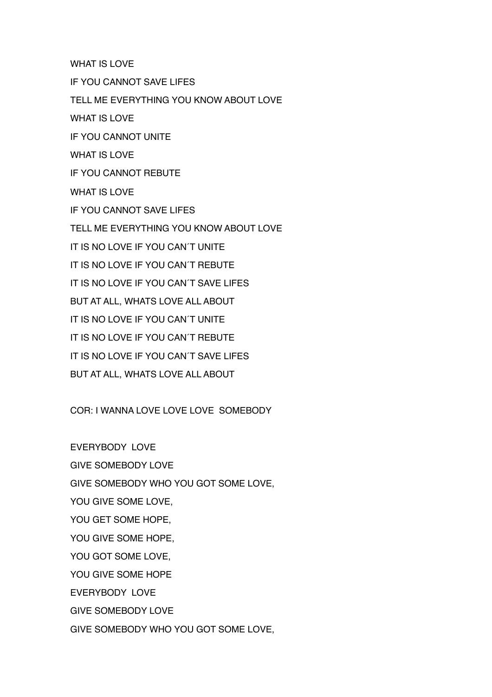WHAT IS LOVE

IF YOU CANNOT SAVE LIFES

TELL ME EVERYTHING YOU KNOW ABOUT LOVE

WHAT IS LOVE

IF YOU CANNOT UNITE

WHAT IS LOVE

IF YOU CANNOT REBUTE

WHAT IS LOVE

IF YOU CANNOT SAVE LIFES

TELL ME EVERYTHING YOU KNOW ABOUT LOVE

IT IS NO LOVE IF YOU CAN´T UNITE

IT IS NO LOVE IF YOU CAN´T REBUTE

IT IS NO LOVE IF YOU CAN´T SAVE LIFES

BUT AT ALL, WHATS LOVE ALL ABOUT

IT IS NO LOVE IF YOU CAN´T UNITE

IT IS NO LOVE IF YOU CAN´T REBUTE

IT IS NO LOVE IF YOU CAN´T SAVE LIFES

BUT AT ALL, WHATS LOVE ALL ABOUT

COR: I WANNA LOVE LOVE LOVE SOMEBODY

EVERYBODY LOVE GIVE SOMEBODY LOVE GIVE SOMEBODY WHO YOU GOT SOME LOVE, YOU GIVE SOME LOVE, YOU GET SOME HOPE, YOU GIVE SOME HOPE, YOU GOT SOME LOVE, YOU GIVE SOME HOPE EVERYBODY LOVE GIVE SOMEBODY LOVE GIVE SOMEBODY WHO YOU GOT SOME LOVE,